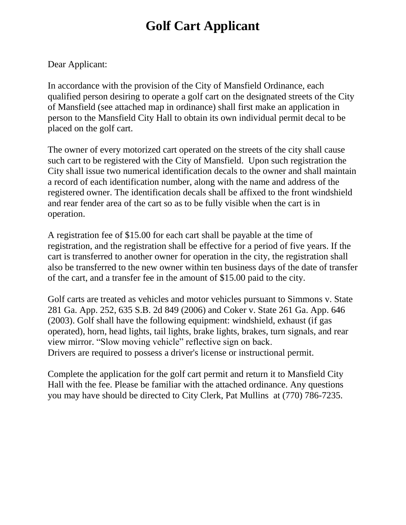## **Golf Cart Applicant**

Dear Applicant:

In accordance with the provision of the City of Mansfield Ordinance, each qualified person desiring to operate a golf cart on the designated streets of the City of Mansfield (see attached map in ordinance) shall first make an application in person to the Mansfield City Hall to obtain its own individual permit decal to be placed on the golf cart.

The owner of every motorized cart operated on the streets of the city shall cause such cart to be registered with the City of Mansfield. Upon such registration the City shall issue two numerical identification decals to the owner and shall maintain a record of each identification number, along with the name and address of the registered owner. The identification decals shall be affixed to the front windshield and rear fender area of the cart so as to be fully visible when the cart is in operation.

A registration fee of \$15.00 for each cart shall be payable at the time of registration, and the registration shall be effective for a period of five years. If the cart is transferred to another owner for operation in the city, the registration shall also be transferred to the new owner within ten business days of the date of transfer of the cart, and a transfer fee in the amount of \$15.00 paid to the city.

Golf carts are treated as vehicles and motor vehicles pursuant to Simmons v. State 281 Ga. App. 252, 635 S.B. 2d 849 (2006) and Coker v. State 261 Ga. App. 646 (2003). Golf shall have the following equipment: windshield, exhaust (if gas operated), horn, head lights, tail lights, brake lights, brakes, turn signals, and rear view mirror. "Slow moving vehicle" reflective sign on back. Drivers are required to possess a driver's license or instructional permit.

Complete the application for the golf cart permit and return it to Mansfield City Hall with the fee. Please be familiar with the attached ordinance. Any questions you may have should be directed to City Clerk, Pat Mullins at (770) 786-7235.